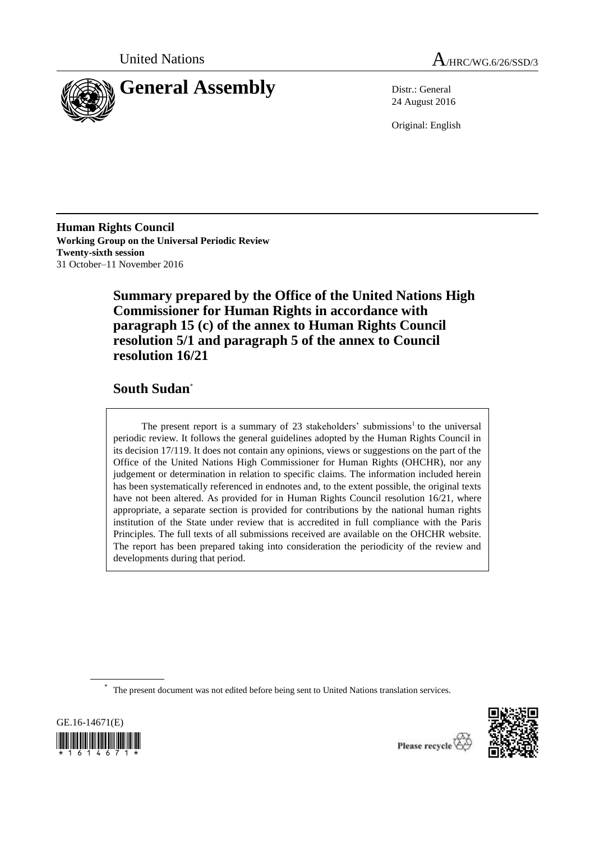



24 August 2016

Original: English

**Human Rights Council Working Group on the Universal Periodic Review Twenty-sixth session** 31 October–11 November 2016

> **Summary prepared by the Office of the United Nations High Commissioner for Human Rights in accordance with paragraph 15 (c) of the annex to Human Rights Council resolution 5/1 and paragraph 5 of the annex to Council resolution 16/21**

# **South Sudan**\*

The present report is a summary of  $23$  stakeholders' submissions<sup>1</sup> to the universal periodic review. It follows the general guidelines adopted by the Human Rights Council in its decision 17/119. It does not contain any opinions, views or suggestions on the part of the Office of the United Nations High Commissioner for Human Rights (OHCHR), nor any judgement or determination in relation to specific claims. The information included herein has been systematically referenced in endnotes and, to the extent possible, the original texts have not been altered. As provided for in Human Rights Council resolution 16/21, where appropriate, a separate section is provided for contributions by the national human rights institution of the State under review that is accredited in full compliance with the Paris Principles. The full texts of all submissions received are available on the OHCHR website. The report has been prepared taking into consideration the periodicity of the review and developments during that period.

\* The present document was not edited before being sent to United Nations translation services.





Please recycle  $\overleftrightarrow{C}$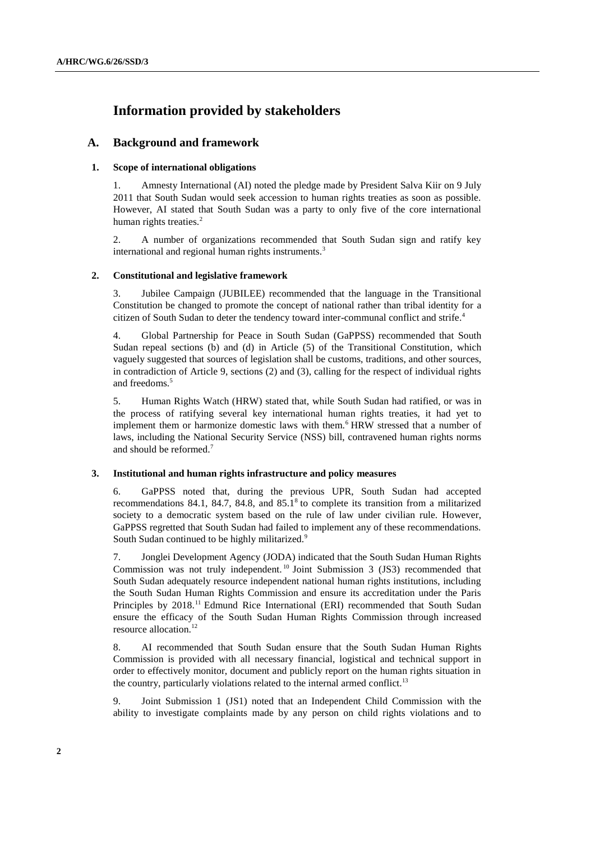# **Information provided by stakeholders**

# **A. Background and framework**

## **1. Scope of international obligations**

1. Amnesty International (AI) noted the pledge made by President Salva Kiir on 9 July 2011 that South Sudan would seek accession to human rights treaties as soon as possible. However, AI stated that South Sudan was a party to only five of the core international human rights treaties.<sup>2</sup>

2. A number of organizations recommended that South Sudan sign and ratify key international and regional human rights instruments.<sup>3</sup>

### **2. Constitutional and legislative framework**

3. Jubilee Campaign (JUBILEE) recommended that the language in the Transitional Constitution be changed to promote the concept of national rather than tribal identity for a citizen of South Sudan to deter the tendency toward inter-communal conflict and strife. 4

4. Global Partnership for Peace in South Sudan (GaPPSS) recommended that South Sudan repeal sections (b) and (d) in Article (5) of the Transitional Constitution, which vaguely suggested that sources of legislation shall be customs, traditions, and other sources, in contradiction of Article 9, sections (2) and (3), calling for the respect of individual rights and freedoms.<sup>5</sup>

5. Human Rights Watch (HRW) stated that, while South Sudan had ratified, or was in the process of ratifying several key international human rights treaties, it had yet to implement them or harmonize domestic laws with them.<sup>6</sup> HRW stressed that a number of laws, including the National Security Service (NSS) bill, contravened human rights norms and should be reformed.<sup>7</sup>

### **3. Institutional and human rights infrastructure and policy measures**

6. GaPPSS noted that, during the previous UPR, South Sudan had accepted recommendations 84.1, 84.7, 84.8, and  $85.1<sup>8</sup>$  to complete its transition from a militarized society to a democratic system based on the rule of law under civilian rule. However, GaPPSS regretted that South Sudan had failed to implement any of these recommendations. South Sudan continued to be highly militarized.<sup>9</sup>

7. Jonglei Development Agency (JODA) indicated that the South Sudan Human Rights Commission was not truly independent.<sup>10</sup> Joint Submission 3 (JS3) recommended that South Sudan adequately resource independent national human rights institutions, including the South Sudan Human Rights Commission and ensure its accreditation under the Paris Principles by 2018.<sup>11</sup> Edmund Rice International (ERI) recommended that South Sudan ensure the efficacy of the South Sudan Human Rights Commission through increased resource allocation.<sup>12</sup>

8. AI recommended that South Sudan ensure that the South Sudan Human Rights Commission is provided with all necessary financial, logistical and technical support in order to effectively monitor, document and publicly report on the human rights situation in the country, particularly violations related to the internal armed conflict.<sup>13</sup>

9. Joint Submission 1 (JS1) noted that an Independent Child Commission with the ability to investigate complaints made by any person on child rights violations and to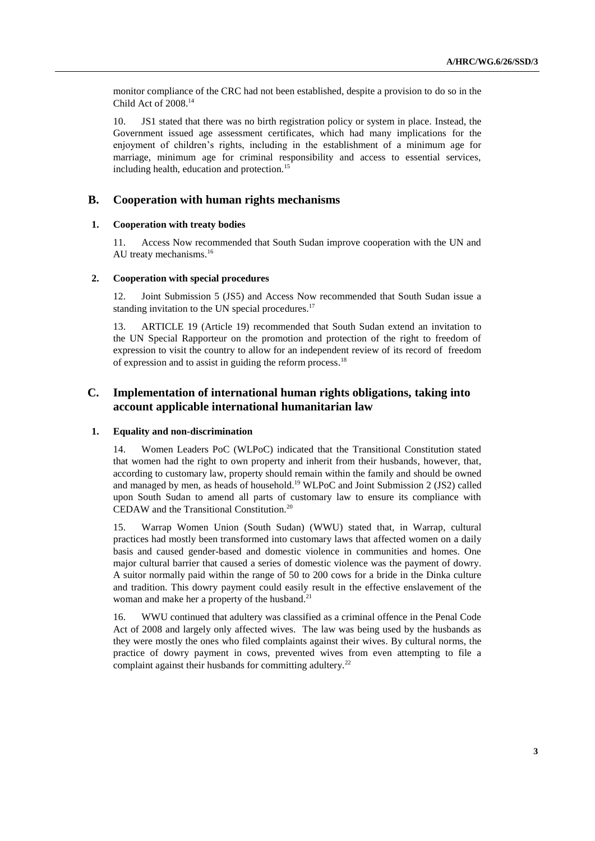monitor compliance of the CRC had not been established, despite a provision to do so in the Child Act of 2008.<sup>14</sup>

10. JS1 stated that there was no birth registration policy or system in place. Instead, the Government issued age assessment certificates, which had many implications for the enjoyment of children's rights, including in the establishment of a minimum age for marriage, minimum age for criminal responsibility and access to essential services, including health, education and protection.<sup>15</sup>

# **B. Cooperation with human rights mechanisms**

## **1. Cooperation with treaty bodies**

11. Access Now recommended that South Sudan improve cooperation with the UN and AU treaty mechanisms.<sup>16</sup>

### **2. Cooperation with special procedures**

12. Joint Submission 5 (JS5) and Access Now recommended that South Sudan issue a standing invitation to the UN special procedures.<sup>17</sup>

13. ARTICLE 19 (Article 19) recommended that South Sudan extend an invitation to the UN Special Rapporteur on the promotion and protection of the right to freedom of expression to visit the country to allow for an independent review of its record of freedom of expression and to assist in guiding the reform process.<sup>18</sup>

# **C. Implementation of international human rights obligations, taking into account applicable international humanitarian law**

### **1. Equality and non-discrimination**

14. Women Leaders PoC (WLPoC) indicated that the Transitional Constitution stated that women had the right to own property and inherit from their husbands, however, that, according to customary law, property should remain within the family and should be owned and managed by men, as heads of household.<sup>19</sup> WLPoC and Joint Submission 2 (JS2) called upon South Sudan to amend all parts of customary law to ensure its compliance with CEDAW and the Transitional Constitution.<sup>20</sup>

15. Warrap Women Union (South Sudan) (WWU) stated that, in Warrap, cultural practices had mostly been transformed into customary laws that affected women on a daily basis and caused gender-based and domestic violence in communities and homes. One major cultural barrier that caused a series of domestic violence was the payment of dowry. A suitor normally paid within the range of 50 to 200 cows for a bride in the Dinka culture and tradition. This dowry payment could easily result in the effective enslavement of the woman and make her a property of the husband.<sup>21</sup>

16. WWU continued that adultery was classified as a criminal offence in the Penal Code Act of 2008 and largely only affected wives. The law was being used by the husbands as they were mostly the ones who filed complaints against their wives. By cultural norms, the practice of dowry payment in cows, prevented wives from even attempting to file a complaint against their husbands for committing adultery.<sup>22</sup>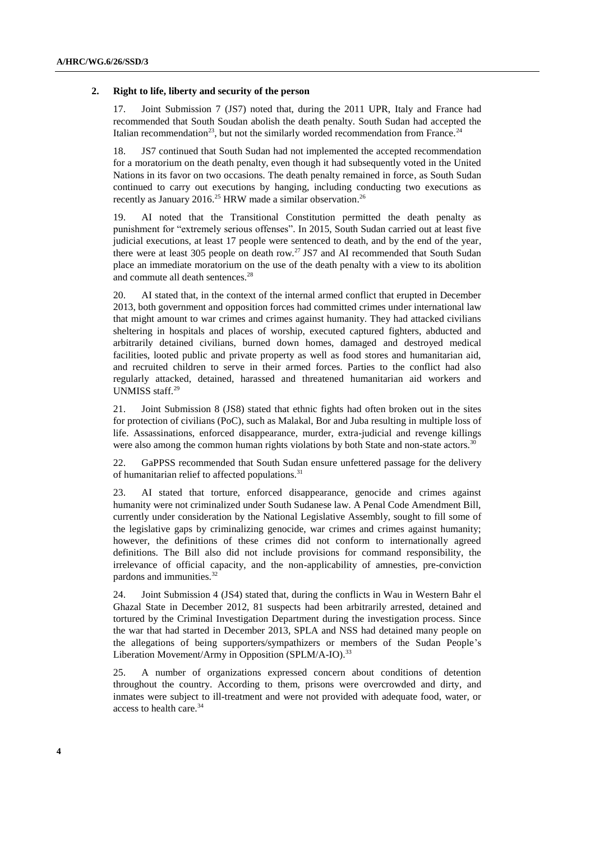#### **2. Right to life, liberty and security of the person**

17. Joint Submission 7 (JS7) noted that, during the 2011 UPR, Italy and France had recommended that South Soudan abolish the death penalty. South Sudan had accepted the Italian recommendation<sup>23</sup>, but not the similarly worded recommendation from France.<sup>24</sup>

18. JS7 continued that South Sudan had not implemented the accepted recommendation for a moratorium on the death penalty, even though it had subsequently voted in the United Nations in its favor on two occasions. The death penalty remained in force, as South Sudan continued to carry out executions by hanging, including conducting two executions as recently as January 2016.<sup>25</sup> HRW made a similar observation.<sup>26</sup>

19. AI noted that the Transitional Constitution permitted the death penalty as punishment for "extremely serious offenses". In 2015, South Sudan carried out at least five judicial executions, at least 17 people were sentenced to death, and by the end of the year, there were at least 305 people on death row.<sup>27</sup> JS7 and AI recommended that South Sudan place an immediate moratorium on the use of the death penalty with a view to its abolition and commute all death sentences.<sup>28</sup>

20. AI stated that, in the context of the internal armed conflict that erupted in December 2013, both government and opposition forces had committed crimes under international law that might amount to war crimes and crimes against humanity. They had attacked civilians sheltering in hospitals and places of worship, executed captured fighters, abducted and arbitrarily detained civilians, burned down homes, damaged and destroyed medical facilities, looted public and private property as well as food stores and humanitarian aid, and recruited children to serve in their armed forces. Parties to the conflict had also regularly attacked, detained, harassed and threatened humanitarian aid workers and UNMISS staff.<sup>29</sup>

21. Joint Submission 8 (JS8) stated that ethnic fights had often broken out in the sites for protection of civilians (PoC), such as Malakal, Bor and Juba resulting in multiple loss of life. Assassinations, enforced disappearance, murder, extra-judicial and revenge killings were also among the common human rights violations by both State and non-state actors.<sup>30</sup>

22. GaPPSS recommended that South Sudan ensure unfettered passage for the delivery of humanitarian relief to affected populations.<sup>31</sup>

23. AI stated that torture, enforced disappearance, genocide and crimes against humanity were not criminalized under South Sudanese law. A Penal Code Amendment Bill, currently under consideration by the National Legislative Assembly, sought to fill some of the legislative gaps by criminalizing genocide, war crimes and crimes against humanity; however, the definitions of these crimes did not conform to internationally agreed definitions. The Bill also did not include provisions for command responsibility, the irrelevance of official capacity, and the non-applicability of amnesties, pre-conviction pardons and immunities.<sup>32</sup>

24. Joint Submission 4 (JS4) stated that, during the conflicts in Wau in Western Bahr el Ghazal State in December 2012, 81 suspects had been arbitrarily arrested, detained and tortured by the Criminal Investigation Department during the investigation process. Since the war that had started in December 2013, SPLA and NSS had detained many people on the allegations of being supporters/sympathizers or members of the Sudan People's Liberation Movement/Army in Opposition (SPLM/A-IO).<sup>33</sup>

25. A number of organizations expressed concern about conditions of detention throughout the country. According to them, prisons were overcrowded and dirty, and inmates were subject to ill-treatment and were not provided with adequate food, water, or access to health care.<sup>34</sup>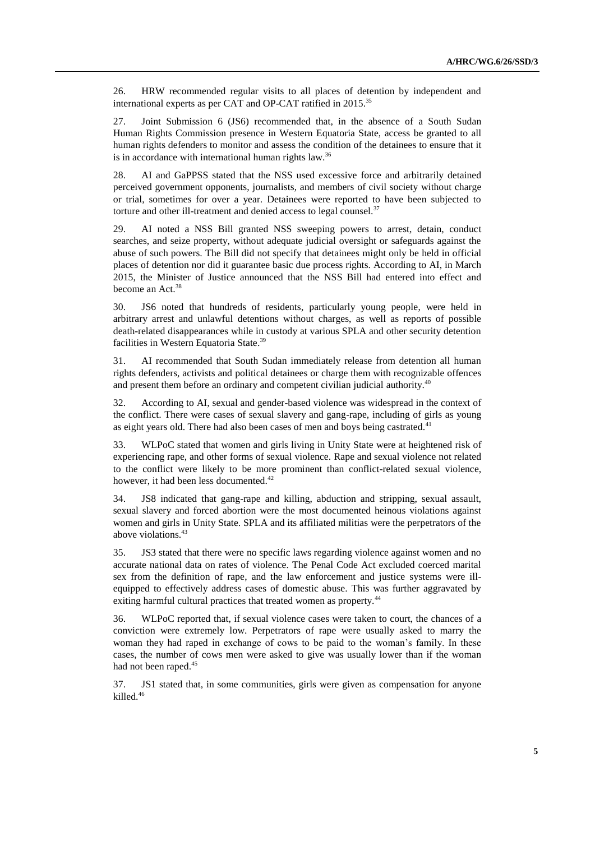26. HRW recommended regular visits to all places of detention by independent and international experts as per CAT and OP-CAT ratified in 2015.<sup>35</sup>

27. Joint Submission 6 (JS6) recommended that, in the absence of a South Sudan Human Rights Commission presence in Western Equatoria State, access be granted to all human rights defenders to monitor and assess the condition of the detainees to ensure that it is in accordance with international human rights law.<sup>36</sup>

28. AI and GaPPSS stated that the NSS used excessive force and arbitrarily detained perceived government opponents, journalists, and members of civil society without charge or trial, sometimes for over a year. Detainees were reported to have been subjected to torture and other ill-treatment and denied access to legal counsel.<sup>37</sup>

29. AI noted a NSS Bill granted NSS sweeping powers to arrest, detain, conduct searches, and seize property, without adequate judicial oversight or safeguards against the abuse of such powers. The Bill did not specify that detainees might only be held in official places of detention nor did it guarantee basic due process rights. According to AI, in March 2015, the Minister of Justice announced that the NSS Bill had entered into effect and become an Act.<sup>38</sup>

30. JS6 noted that hundreds of residents, particularly young people, were held in arbitrary arrest and unlawful detentions without charges, as well as reports of possible death-related disappearances while in custody at various SPLA and other security detention facilities in Western Equatoria State.<sup>39</sup>

31. AI recommended that South Sudan immediately release from detention all human rights defenders, activists and political detainees or charge them with recognizable offences and present them before an ordinary and competent civilian judicial authority.<sup>40</sup>

32. According to AI, sexual and gender-based violence was widespread in the context of the conflict. There were cases of sexual slavery and gang-rape, including of girls as young as eight years old. There had also been cases of men and boys being castrated.<sup>41</sup>

33. WLPoC stated that women and girls living in Unity State were at heightened risk of experiencing rape, and other forms of sexual violence. Rape and sexual violence not related to the conflict were likely to be more prominent than conflict-related sexual violence, however, it had been less documented.<sup>42</sup>

34. JS8 indicated that gang-rape and killing, abduction and stripping, sexual assault, sexual slavery and forced abortion were the most documented heinous violations against women and girls in Unity State. SPLA and its affiliated militias were the perpetrators of the above violations.<sup>43</sup>

35. JS3 stated that there were no specific laws regarding violence against women and no accurate national data on rates of violence. The Penal Code Act excluded coerced marital sex from the definition of rape, and the law enforcement and justice systems were illequipped to effectively address cases of domestic abuse. This was further aggravated by exiting harmful cultural practices that treated women as property.<sup>44</sup>

36. WLPoC reported that, if sexual violence cases were taken to court, the chances of a conviction were extremely low. Perpetrators of rape were usually asked to marry the woman they had raped in exchange of cows to be paid to the woman's family. In these cases, the number of cows men were asked to give was usually lower than if the woman had not been raped.<sup>45</sup>

37. JS1 stated that, in some communities, girls were given as compensation for anyone killed.<sup>46</sup>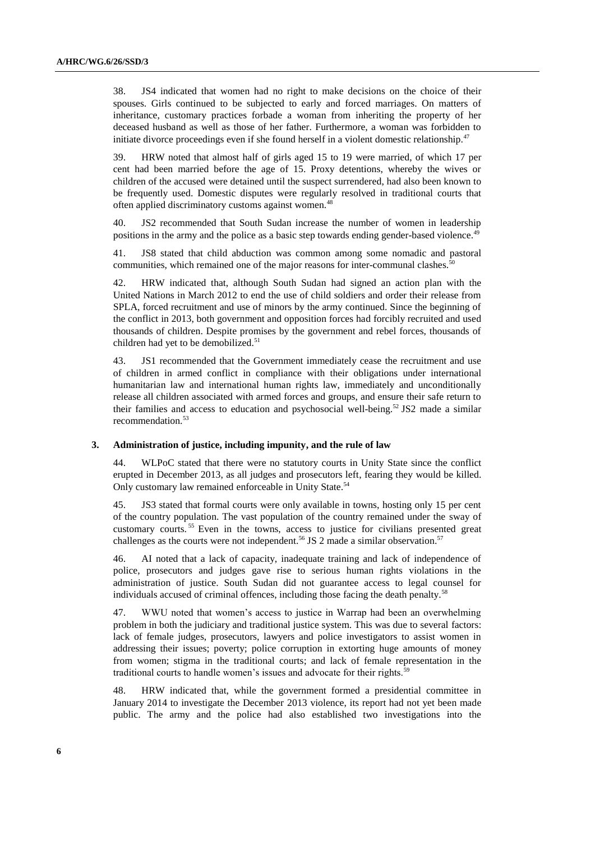38. JS4 indicated that women had no right to make decisions on the choice of their spouses. Girls continued to be subjected to early and forced marriages. On matters of inheritance, customary practices forbade a woman from inheriting the property of her deceased husband as well as those of her father. Furthermore, a woman was forbidden to initiate divorce proceedings even if she found herself in a violent domestic relationship.<sup>47</sup>

39. HRW noted that almost half of girls aged 15 to 19 were married, of which 17 per cent had been married before the age of 15. Proxy detentions, whereby the wives or children of the accused were detained until the suspect surrendered, had also been known to be frequently used. Domestic disputes were regularly resolved in traditional courts that often applied discriminatory customs against women.<sup>48</sup>

40. JS2 recommended that South Sudan increase the number of women in leadership positions in the army and the police as a basic step towards ending gender-based violence.<sup>49</sup>

41. JS8 stated that child abduction was common among some nomadic and pastoral communities, which remained one of the major reasons for inter-communal clashes.<sup>50</sup>

42. HRW indicated that, although South Sudan had signed an action plan with the United Nations in March 2012 to end the use of child soldiers and order their release from SPLA, forced recruitment and use of minors by the army continued. Since the beginning of the conflict in 2013, both government and opposition forces had forcibly recruited and used thousands of children. Despite promises by the government and rebel forces, thousands of children had yet to be demobilized.<sup>51</sup>

43. JS1 recommended that the Government immediately cease the recruitment and use of children in armed conflict in compliance with their obligations under international humanitarian law and international human rights law, immediately and unconditionally release all children associated with armed forces and groups, and ensure their safe return to their families and access to education and psychosocial well-being.<sup>52</sup> JS2 made a similar recommendation.<sup>53</sup>

#### **3. Administration of justice, including impunity, and the rule of law**

44. WLPoC stated that there were no statutory courts in Unity State since the conflict erupted in December 2013, as all judges and prosecutors left, fearing they would be killed. Only customary law remained enforceable in Unity State.<sup>54</sup>

45. JS3 stated that formal courts were only available in towns, hosting only 15 per cent of the country population. The vast population of the country remained under the sway of customary courts. <sup>55</sup> Even in the towns, access to justice for civilians presented great challenges as the courts were not independent.<sup>56</sup> JS 2 made a similar observation.<sup>57</sup>

46. AI noted that a lack of capacity, inadequate training and lack of independence of police, prosecutors and judges gave rise to serious human rights violations in the administration of justice. South Sudan did not guarantee access to legal counsel for individuals accused of criminal offences, including those facing the death penalty.<sup>58</sup>

47. WWU noted that women's access to justice in Warrap had been an overwhelming problem in both the judiciary and traditional justice system. This was due to several factors: lack of female judges, prosecutors, lawyers and police investigators to assist women in addressing their issues; poverty; police corruption in extorting huge amounts of money from women; stigma in the traditional courts; and lack of female representation in the traditional courts to handle women's issues and advocate for their rights.<sup>59</sup>

48. HRW indicated that, while the government formed a presidential committee in January 2014 to investigate the December 2013 violence, its report had not yet been made public. The army and the police had also established two investigations into the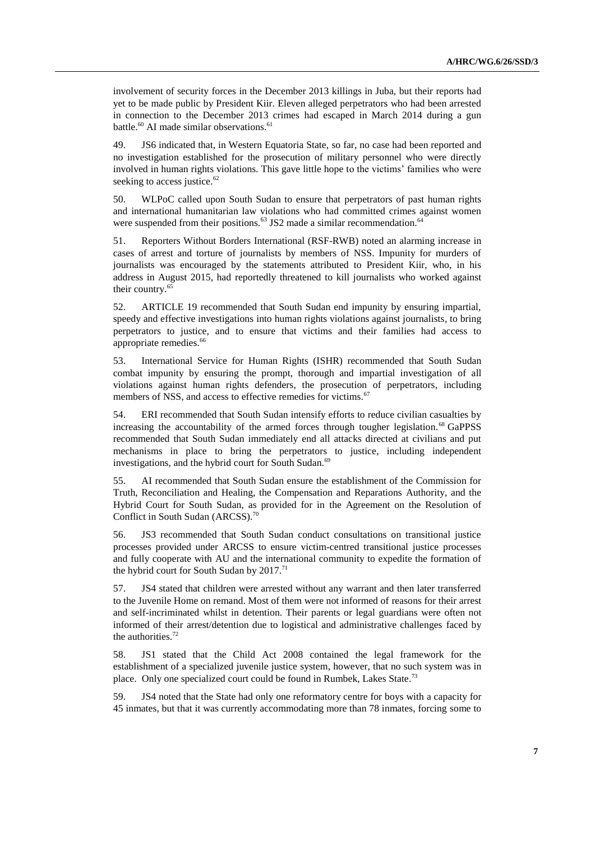involvement of security forces in the December 2013 killings in Juba, but their reports had yet to be made public by President Kiir. Eleven alleged perpetrators who had been arrested in connection to the December 2013 crimes had escaped in March 2014 during a gun battle.<sup>60</sup> AI made similar observations.<sup>61</sup>

49. JS6 indicated that, in Western Equatoria State, so far, no case had been reported and no investigation established for the prosecution of military personnel who were directly involved in human rights violations. This gave little hope to the victims' families who were seeking to access justice. $62$ 

50. WLPoC called upon South Sudan to ensure that perpetrators of past human rights and international humanitarian law violations who had committed crimes against women were suspended from their positions.<sup>63</sup> JS2 made a similar recommendation.<sup>64</sup>

51. Reporters Without Borders International (RSF-RWB) noted an alarming increase in cases of arrest and torture of journalists by members of NSS. Impunity for murders of journalists was encouraged by the statements attributed to President Kiir, who, in his address in August 2015, had reportedly threatened to kill journalists who worked against their country.<sup>65</sup>

52. ARTICLE 19 recommended that South Sudan end impunity by ensuring impartial, speedy and effective investigations into human rights violations against journalists, to bring perpetrators to justice, and to ensure that victims and their families had access to appropriate remedies. 66

53. International Service for Human Rights (ISHR) recommended that South Sudan combat impunity by ensuring the prompt, thorough and impartial investigation of all violations against human rights defenders, the prosecution of perpetrators, including members of NSS, and access to effective remedies for victims.<sup>67</sup>

54. ERI recommended that South Sudan intensify efforts to reduce civilian casualties by increasing the accountability of the armed forces through tougher legislation. <sup>68</sup> GaPPSS recommended that South Sudan immediately end all attacks directed at civilians and put mechanisms in place to bring the perpetrators to justice, including independent investigations, and the hybrid court for South Sudan.<sup>69</sup>

55. AI recommended that South Sudan ensure the establishment of the Commission for Truth, Reconciliation and Healing, the Compensation and Reparations Authority, and the Hybrid Court for South Sudan, as provided for in the Agreement on the Resolution of Conflict in South Sudan (ARCSS). 70

56. JS3 recommended that South Sudan conduct consultations on transitional justice processes provided under ARCSS to ensure victim-centred transitional justice processes and fully cooperate with AU and the international community to expedite the formation of the hybrid court for South Sudan by  $2017.<sup>71</sup>$ 

57. JS4 stated that children were arrested without any warrant and then later transferred to the Juvenile Home on remand. Most of them were not informed of reasons for their arrest and self-incriminated whilst in detention. Their parents or legal guardians were often not informed of their arrest/detention due to logistical and administrative challenges faced by the authorities. 72

58. JS1 stated that the Child Act 2008 contained the legal framework for the establishment of a specialized juvenile justice system, however, that no such system was in place. Only one specialized court could be found in Rumbek, Lakes State.<sup>73</sup>

59. JS4 noted that the State had only one reformatory centre for boys with a capacity for 45 inmates, but that it was currently accommodating more than 78 inmates, forcing some to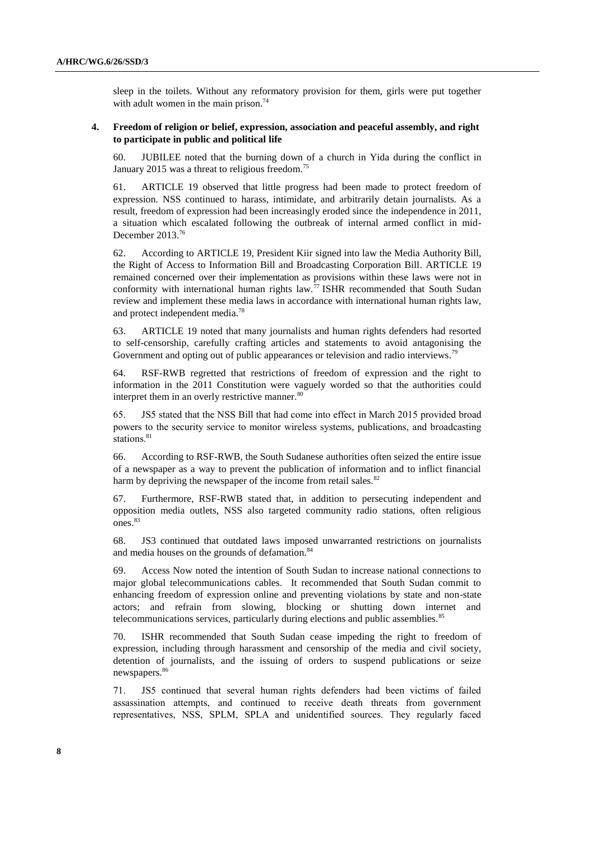sleep in the toilets. Without any reformatory provision for them, girls were put together with adult women in the main prison. $74$ 

## **4. Freedom of religion or belief, expression, association and peaceful assembly, and right to participate in public and political life**

60. JUBILEE noted that the burning down of a church in Yida during the conflict in January 2015 was a threat to religious freedom.<sup>75</sup>

61. ARTICLE 19 observed that little progress had been made to protect freedom of expression. NSS continued to harass, intimidate, and arbitrarily detain journalists. As a result, freedom of expression had been increasingly eroded since the independence in 2011, a situation which escalated following the outbreak of internal armed conflict in mid-December 2013.<sup>76</sup>

62. According to ARTICLE 19, President Kiir signed into law the Media Authority Bill, the Right of Access to Information Bill and Broadcasting Corporation Bill. ARTICLE 19 remained concerned over their implementation as provisions within these laws were not in conformity with international human rights law.<sup>77</sup> ISHR recommended that South Sudan review and implement these media laws in accordance with international human rights law, and protect independent media.<sup>78</sup>

63. ARTICLE 19 noted that many journalists and human rights defenders had resorted to self-censorship, carefully crafting articles and statements to avoid antagonising the Government and opting out of public appearances or television and radio interviews.<sup>79</sup>

64. RSF-RWB regretted that restrictions of freedom of expression and the right to information in the 2011 Constitution were vaguely worded so that the authorities could interpret them in an overly restrictive manner.<sup>80</sup>

65. JS5 stated that the NSS Bill that had come into effect in March 2015 provided broad powers to the security service to monitor wireless systems, publications, and broadcasting stations.<sup>81</sup>

66. According to RSF-RWB, the South Sudanese authorities often seized the entire issue of a newspaper as a way to prevent the publication of information and to inflict financial harm by depriving the newspaper of the income from retail sales.<sup>82</sup>

67. Furthermore, RSF-RWB stated that, in addition to persecuting independent and opposition media outlets, NSS also targeted community radio stations, often religious ones.<sup>83</sup>

68. JS3 continued that outdated laws imposed unwarranted restrictions on journalists and media houses on the grounds of defamation.<sup>84</sup>

69. Access Now noted the intention of South Sudan to increase national connections to major global telecommunications cables. It recommended that South Sudan commit to enhancing freedom of expression online and preventing violations by state and non-state actors; and refrain from slowing, blocking or shutting down internet and telecommunications services, particularly during elections and public assemblies.<sup>85</sup>

70. ISHR recommended that South Sudan cease impeding the right to freedom of expression, including through harassment and censorship of the media and civil society, detention of journalists, and the issuing of orders to suspend publications or seize newspapers.<sup>86</sup>

71. JS5 continued that several human rights defenders had been victims of failed assassination attempts, and continued to receive death threats from government representatives, NSS, SPLM, SPLA and unidentified sources. They regularly faced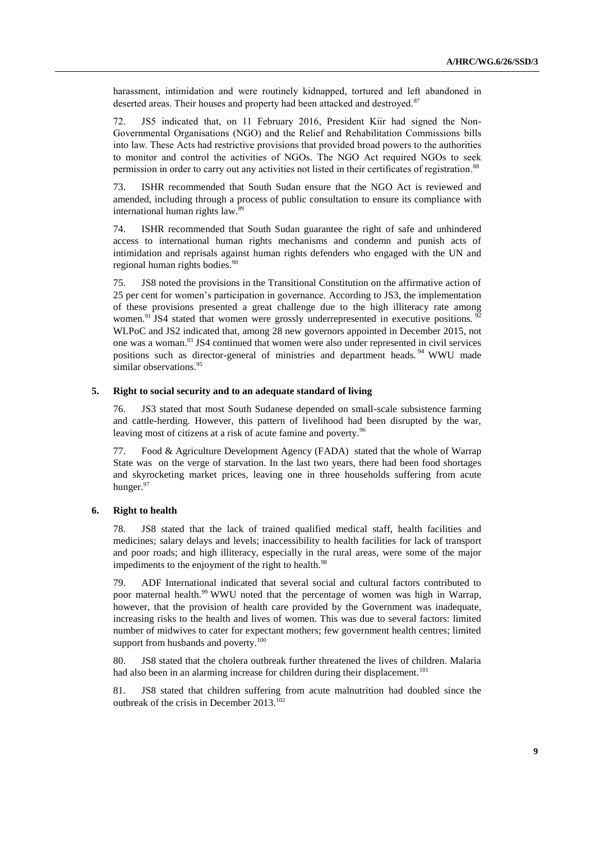harassment, intimidation and were routinely kidnapped, tortured and left abandoned in deserted areas. Their houses and property had been attacked and destroyed.<sup>87</sup>

72. JS5 indicated that, on 11 February 2016, President Kiir had signed the Non-Governmental Organisations (NGO) and the Relief and Rehabilitation Commissions bills into law. These Acts had restrictive provisions that provided broad powers to the authorities to monitor and control the activities of NGOs. The NGO Act required NGOs to seek permission in order to carry out any activities not listed in their certificates of registration.<sup>88</sup>

73. ISHR recommended that South Sudan ensure that the NGO Act is reviewed and amended, including through a process of public consultation to ensure its compliance with international human rights law.<sup>89</sup>

74. ISHR recommended that South Sudan guarantee the right of safe and unhindered access to international human rights mechanisms and condemn and punish acts of intimidation and reprisals against human rights defenders who engaged with the UN and regional human rights bodies.<sup>90</sup>

75. JS8 noted the provisions in the Transitional Constitution on the affirmative action of 25 per cent for women's participation in governance. According to JS3, the implementation of these provisions presented a great challenge due to the high illiteracy rate among women.<sup>91</sup> JS4 stated that women were grossly underrepresented in executive positions.  $92$ WLPoC and JS2 indicated that, among 28 new governors appointed in December 2015, not one was a woman.<sup>93</sup> JS4 continued that women were also under represented in civil services positions such as director-general of ministries and department heads.<sup>94</sup> WWU made similar observations.<sup>95</sup>

### **5. Right to social security and to an adequate standard of living**

76. JS3 stated that most South Sudanese depended on small-scale subsistence farming and cattle-herding. However, this pattern of livelihood had been disrupted by the war, leaving most of citizens at a risk of acute famine and poverty.<sup>96</sup>

77. Food & Agriculture Development Agency (FADA) stated that the whole of Warrap State was on the verge of starvation. In the last two years, there had been food shortages and skyrocketing market prices, leaving one in three households suffering from acute hunger.<sup>97</sup>

#### **6. Right to health**

78. JS8 stated that the lack of trained qualified medical staff, health facilities and medicines; salary delays and levels; inaccessibility to health facilities for lack of transport and poor roads; and high illiteracy, especially in the rural areas, were some of the major impediments to the enjoyment of the right to health.<sup>98</sup>

79. ADF International indicated that several social and cultural factors contributed to poor maternal health.<sup>99</sup> WWU noted that the percentage of women was high in Warrap, however, that the provision of health care provided by the Government was inadequate, increasing risks to the health and lives of women. This was due to several factors: limited number of midwives to cater for expectant mothers; few government health centres; limited support from husbands and poverty.<sup>100</sup>

80. JS8 stated that the cholera outbreak further threatened the lives of children. Malaria had also been in an alarming increase for children during their displacement.<sup>101</sup>

81. JS8 stated that children suffering from acute malnutrition had doubled since the outbreak of the crisis in December 2013.102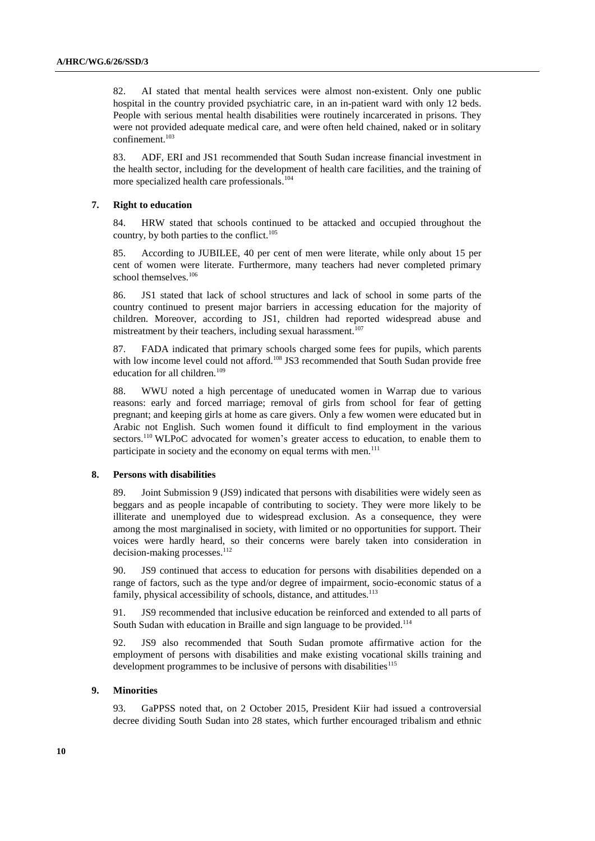82. AI stated that mental health services were almost non-existent. Only one public hospital in the country provided psychiatric care, in an in-patient ward with only 12 beds. People with serious mental health disabilities were routinely incarcerated in prisons. They were not provided adequate medical care, and were often held chained, naked or in solitary confinement.<sup>103</sup>

83. ADF, ERI and JS1 recommended that South Sudan increase financial investment in the health sector, including for the development of health care facilities, and the training of more specialized health care professionals. 104

#### **7. Right to education**

84. HRW stated that schools continued to be attacked and occupied throughout the country, by both parties to the conflict. $105$ 

85. According to JUBILEE, 40 per cent of men were literate, while only about 15 per cent of women were literate. Furthermore, many teachers had never completed primary school themselves.<sup>106</sup>

86. JS1 stated that lack of school structures and lack of school in some parts of the country continued to present major barriers in accessing education for the majority of children. Moreover, according to JS1, children had reported widespread abuse and mistreatment by their teachers, including sexual harassment.<sup>107</sup>

87. FADA indicated that primary schools charged some fees for pupils, which parents with low income level could not afford.<sup>108</sup> JS3 recommended that South Sudan provide free education for all children.<sup>109</sup>

88. WWU noted a high percentage of uneducated women in Warrap due to various reasons: early and forced marriage; removal of girls from school for fear of getting pregnant; and keeping girls at home as care givers. Only a few women were educated but in Arabic not English. Such women found it difficult to find employment in the various sectors.<sup>110</sup> WLPoC advocated for women's greater access to education, to enable them to participate in society and the economy on equal terms with men.<sup>111</sup>

### **8. Persons with disabilities**

89. Joint Submission 9 (JS9) indicated that persons with disabilities were widely seen as beggars and as people incapable of contributing to society. They were more likely to be illiterate and unemployed due to widespread exclusion. As a consequence, they were among the most marginalised in society, with limited or no opportunities for support. Their voices were hardly heard, so their concerns were barely taken into consideration in decision-making processes.<sup>112</sup>

90. JS9 continued that access to education for persons with disabilities depended on a range of factors, such as the type and/or degree of impairment, socio-economic status of a family, physical accessibility of schools, distance, and attitudes.<sup>113</sup>

91. JS9 recommended that inclusive education be reinforced and extended to all parts of South Sudan with education in Braille and sign language to be provided.<sup>114</sup>

92. JS9 also recommended that South Sudan promote affirmative action for the employment of persons with disabilities and make existing vocational skills training and development programmes to be inclusive of persons with disabilities<sup>115</sup>

#### **9. Minorities**

93. GaPPSS noted that, on 2 October 2015, President Kiir had issued a controversial decree dividing South Sudan into 28 states, which further encouraged tribalism and ethnic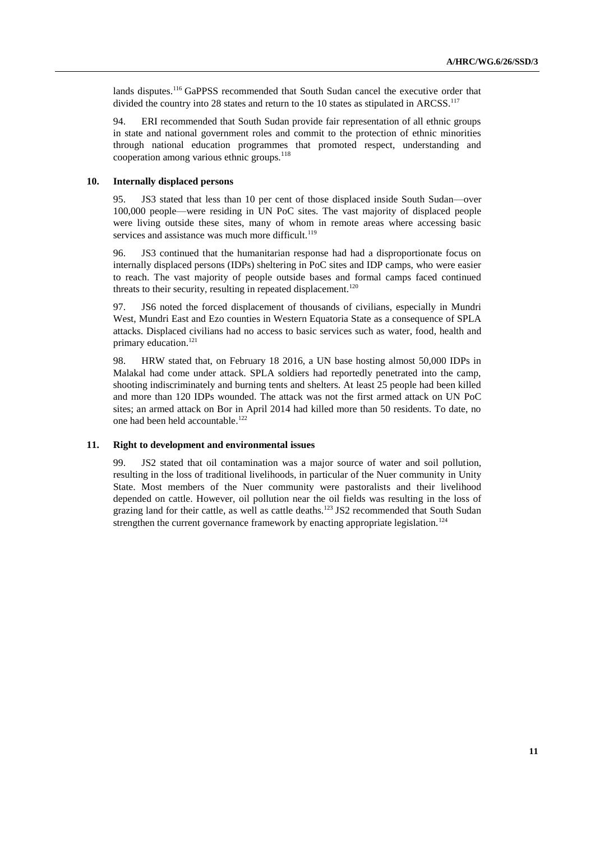lands disputes.<sup>116</sup> GaPPSS recommended that South Sudan cancel the executive order that divided the country into 28 states and return to the 10 states as stipulated in ARCSS.<sup>117</sup>

94. ERI recommended that South Sudan provide fair representation of all ethnic groups in state and national government roles and commit to the protection of ethnic minorities through national education programmes that promoted respect, understanding and cooperation among various ethnic groups.<sup>118</sup>

### **10. Internally displaced persons**

95. JS3 stated that less than 10 per cent of those displaced inside South Sudan—over 100,000 people—were residing in UN PoC sites. The vast majority of displaced people were living outside these sites, many of whom in remote areas where accessing basic services and assistance was much more difficult.<sup>119</sup>

96. JS3 continued that the humanitarian response had had a disproportionate focus on internally displaced persons (IDPs) sheltering in PoC sites and IDP camps, who were easier to reach. The vast majority of people outside bases and formal camps faced continued threats to their security, resulting in repeated displacement.<sup>120</sup>

97. JS6 noted the forced displacement of thousands of civilians, especially in Mundri West, Mundri East and Ezo counties in Western Equatoria State as a consequence of SPLA attacks. Displaced civilians had no access to basic services such as water, food, health and primary education. 121

98. HRW stated that, on February 18 2016, a UN base hosting almost 50,000 IDPs in Malakal had come under attack. SPLA soldiers had reportedly penetrated into the camp, shooting indiscriminately and burning tents and shelters. At least 25 people had been killed and more than 120 IDPs wounded. The attack was not the first armed attack on UN PoC sites; an armed attack on Bor in April 2014 had killed more than 50 residents. To date, no one had been held accountable.<sup>122</sup>

# **11. Right to development and environmental issues**

99. JS2 stated that oil contamination was a major source of water and soil pollution, resulting in the loss of traditional livelihoods, in particular of the Nuer community in Unity State. Most members of the Nuer community were pastoralists and their livelihood depended on cattle. However, oil pollution near the oil fields was resulting in the loss of grazing land for their cattle, as well as cattle deaths.<sup>123</sup> JS2 recommended that South Sudan strengthen the current governance framework by enacting appropriate legislation.<sup>124</sup>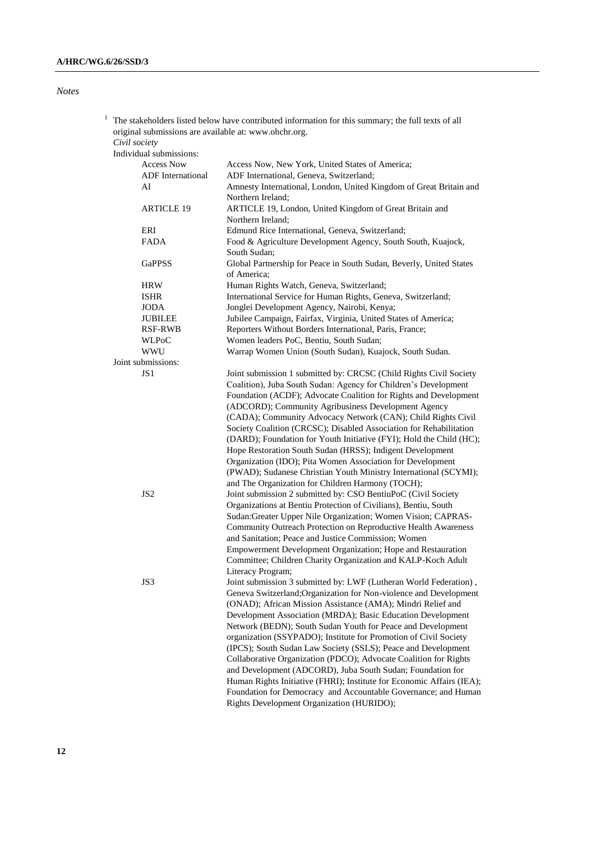# *Notes*

| Civil society<br>Individual submissions: | The stakeholders listed below have contributed information for this summary; the full texts of all<br>original submissions are available at: www.ohchr.org. |  |
|------------------------------------------|-------------------------------------------------------------------------------------------------------------------------------------------------------------|--|
| <b>Access Now</b>                        | Access Now, New York, United States of America:                                                                                                             |  |
| <b>ADF</b> International                 | ADF International, Geneva, Switzerland;                                                                                                                     |  |
| ΑI                                       | Amnesty International, London, United Kingdom of Great Britain                                                                                              |  |

| AI                 | Amnesty International, London, United Kingdom of Great Britain and                 |  |  |
|--------------------|------------------------------------------------------------------------------------|--|--|
|                    | Northern Ireland:                                                                  |  |  |
| <b>ARTICLE 19</b>  | ARTICLE 19, London, United Kingdom of Great Britain and                            |  |  |
|                    | Northern Ireland;                                                                  |  |  |
| ERI                | Edmund Rice International, Geneva, Switzerland;                                    |  |  |
| <b>FADA</b>        | Food & Agriculture Development Agency, South South, Kuajock,                       |  |  |
|                    | South Sudan;                                                                       |  |  |
| <b>GaPPSS</b>      | Global Partnership for Peace in South Sudan, Beverly, United States<br>of America; |  |  |
| <b>HRW</b>         | Human Rights Watch, Geneva, Switzerland;                                           |  |  |
| <b>ISHR</b>        | International Service for Human Rights, Geneva, Switzerland;                       |  |  |
| <b>JODA</b>        | Jonglei Development Agency, Nairobi, Kenya;                                        |  |  |
| <b>JUBILEE</b>     | Jubilee Campaign, Fairfax, Virginia, United States of America;                     |  |  |
| RSF-RWB            | Reporters Without Borders International, Paris, France;                            |  |  |
| <b>WLPoC</b>       | Women leaders PoC, Bentiu, South Sudan;                                            |  |  |
| <b>WWU</b>         | Warrap Women Union (South Sudan), Kuajock, South Sudan.                            |  |  |
| Joint submissions: |                                                                                    |  |  |
| JS1                | Joint submission 1 submitted by: CRCSC (Child Rights Civil Society                 |  |  |
|                    | Coalition), Juba South Sudan: Agency for Children's Development                    |  |  |
|                    | Foundation (ACDF); Advocate Coalition for Rights and Development                   |  |  |
|                    | (ADCORD); Community Agribusiness Development Agency                                |  |  |
|                    | (CADA); Community Advocacy Network (CAN); Child Rights Civil                       |  |  |
|                    | Society Coalition (CRCSC); Disabled Association for Rehabilitation                 |  |  |
|                    | (DARD); Foundation for Youth Initiative (FYI); Hold the Child (HC);                |  |  |
|                    | Hope Restoration South Sudan (HRSS); Indigent Development                          |  |  |
|                    | Organization (IDO); Pita Women Association for Development                         |  |  |
|                    | (PWAD); Sudanese Christian Youth Ministry International (SCYMI);                   |  |  |
|                    | and The Organization for Children Harmony (TOCH);                                  |  |  |
| JS <sub>2</sub>    | Joint submission 2 submitted by: CSO BentiuPoC (Civil Society                      |  |  |
|                    | Organizations at Bentiu Protection of Civilians), Bentiu, South                    |  |  |
|                    | Sudan: Greater Upper Nile Organization; Women Vision; CAPRAS-                      |  |  |
|                    | Community Outreach Protection on Reproductive Health Awareness                     |  |  |
|                    | and Sanitation; Peace and Justice Commission; Women                                |  |  |
|                    | Empowerment Development Organization; Hope and Restauration                        |  |  |
|                    | Committee; Children Charity Organization and KALP-Koch Adult                       |  |  |
|                    |                                                                                    |  |  |
|                    | Literacy Program;                                                                  |  |  |
| JS3                | Joint submission 3 submitted by: LWF (Lutheran World Federation),                  |  |  |
|                    | Geneva Switzerland; Organization for Non-violence and Development                  |  |  |
|                    | (ONAD); African Mission Assistance (AMA); Mindri Relief and                        |  |  |
|                    | Development Association (MRDA); Basic Education Development                        |  |  |
|                    | Network (BEDN); South Sudan Youth for Peace and Development                        |  |  |
|                    | organization (SSYPADO); Institute for Promotion of Civil Society                   |  |  |
|                    | (IPCS); South Sudan Law Society (SSLS); Peace and Development                      |  |  |
|                    | Collaborative Organization (PDCO); Advocate Coalition for Rights                   |  |  |
|                    | and Development (ADCORD), Juba South Sudan; Foundation for                         |  |  |
|                    | Human Rights Initiative (FHRI); Institute for Economic Affairs (IEA);              |  |  |
|                    | Foundation for Democracy and Accountable Governance; and Human                     |  |  |
|                    | Rights Development Organization (HURIDO);                                          |  |  |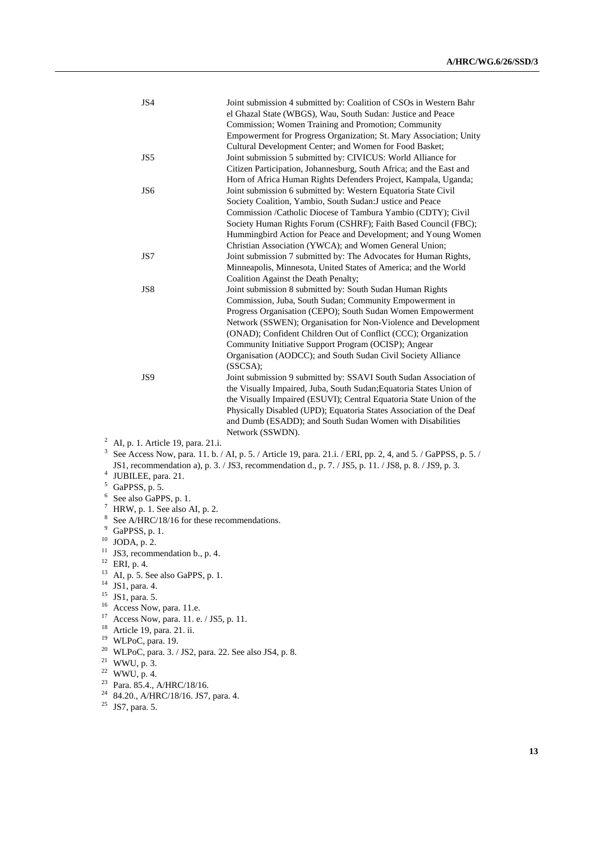|        | JS4                                                  | Joint submission 4 submitted by: Coalition of CSOs in Western Bahr<br>el Ghazal State (WBGS), Wau, South Sudan: Justice and Peace |  |
|--------|------------------------------------------------------|-----------------------------------------------------------------------------------------------------------------------------------|--|
|        |                                                      | Commission; Women Training and Promotion; Community                                                                               |  |
|        |                                                      | Empowerment for Progress Organization; St. Mary Association; Unity                                                                |  |
|        |                                                      | Cultural Development Center; and Women for Food Basket;                                                                           |  |
|        | JS5                                                  | Joint submission 5 submitted by: CIVICUS: World Alliance for                                                                      |  |
|        |                                                      | Citizen Participation, Johannesburg, South Africa; and the East and                                                               |  |
|        |                                                      | Horn of Africa Human Rights Defenders Project, Kampala, Uganda;                                                                   |  |
|        | JS6                                                  | Joint submission 6 submitted by: Western Equatoria State Civil                                                                    |  |
|        |                                                      | Society Coalition, Yambio, South Sudan: Justice and Peace                                                                         |  |
|        |                                                      | Commission /Catholic Diocese of Tambura Yambio (CDTY); Civil                                                                      |  |
|        |                                                      | Society Human Rights Forum (CSHRF); Faith Based Council (FBC);                                                                    |  |
|        |                                                      | Hummingbird Action for Peace and Development; and Young Women                                                                     |  |
|        |                                                      | Christian Association (YWCA); and Women General Union;                                                                            |  |
|        | JS7                                                  | Joint submission 7 submitted by: The Advocates for Human Rights,                                                                  |  |
|        |                                                      | Minneapolis, Minnesota, United States of America; and the World                                                                   |  |
|        |                                                      | Coalition Against the Death Penalty;                                                                                              |  |
|        | JS8                                                  | Joint submission 8 submitted by: South Sudan Human Rights                                                                         |  |
|        |                                                      | Commission, Juba, South Sudan; Community Empowerment in                                                                           |  |
|        |                                                      | Progress Organisation (CEPO); South Sudan Women Empowerment                                                                       |  |
|        |                                                      | Network (SSWEN); Organisation for Non-Violence and Development                                                                    |  |
|        |                                                      | (ONAD); Confident Children Out of Conflict (CCC); Organization                                                                    |  |
|        |                                                      | Community Initiative Support Program (OCISP); Angear                                                                              |  |
|        |                                                      | Organisation (AODCC); and South Sudan Civil Society Alliance                                                                      |  |
|        |                                                      | (SSCSA);                                                                                                                          |  |
|        | JS9                                                  | Joint submission 9 submitted by: SSAVI South Sudan Association of                                                                 |  |
|        |                                                      | the Visually Impaired, Juba, South Sudan; Equatoria States Union of                                                               |  |
|        |                                                      | the Visually Impaired (ESUVI); Central Equatoria State Union of the                                                               |  |
|        |                                                      | Physically Disabled (UPD); Equatoria States Association of the Deaf                                                               |  |
|        |                                                      | and Dumb (ESADD); and South Sudan Women with Disabilities                                                                         |  |
|        |                                                      | Network (SSWDN).                                                                                                                  |  |
| 2      | AI, p. 1. Article 19, para. 21.i.                    |                                                                                                                                   |  |
| 3      |                                                      | See Access Now, para. 11. b. / AI, p. 5. / Article 19, para. 21.i. / ERI, pp. 2, 4, and 5. / GaPPSS, p. 5. /                      |  |
|        |                                                      | JS1, recommendation a), p. 3. / JS3, recommendation d., p. 7. / JS5, p. 11. / JS8, p. 8. / JS9, p. 3.                             |  |
|        | 4<br>JUBILEE, para. 21.                              |                                                                                                                                   |  |
|        | 5<br>GaPPSS, p. 5.                                   |                                                                                                                                   |  |
| 6<br>7 | See also GaPPS, p. 1.                                |                                                                                                                                   |  |
| 8      | HRW, p. 1. See also AI, p. 2.                        |                                                                                                                                   |  |
| 9      | See A/HRC/18/16 for these recommendations.           |                                                                                                                                   |  |
| 10     | GaPPSS, p. 1.                                        |                                                                                                                                   |  |
| 11     | JODA, p. 2.                                          |                                                                                                                                   |  |
| 12     | JS3, recommendation b., p. 4.                        |                                                                                                                                   |  |
| 13     | ERI, p. 4.                                           |                                                                                                                                   |  |
| 14     | AI, p. 5. See also GaPPS, p. 1.<br>JS1, para. 4.     |                                                                                                                                   |  |
| 15     | JS1, para. 5.                                        |                                                                                                                                   |  |
| 16     | Access Now, para. 11.e.                              |                                                                                                                                   |  |
| 17     | Access Now, para. 11. e. / JS5, p. 11.               |                                                                                                                                   |  |
| 18     | Article 19, para. 21. ii.                            |                                                                                                                                   |  |
| 19     | WLPoC, para. 19.                                     |                                                                                                                                   |  |
| 20     | WLPoC, para. 3. / JS2, para. 22. See also JS4, p. 8. |                                                                                                                                   |  |
| 21     | WWU, p. 3.                                           |                                                                                                                                   |  |
| 22     | WWU, p. 4.                                           |                                                                                                                                   |  |
|        |                                                      |                                                                                                                                   |  |

- $23$  Para. 85.4., A/HRC/18/16.
- $24$  84.20., A/HRC/18/16. JS7, para. 4.
- $25$  JS7, para. 5.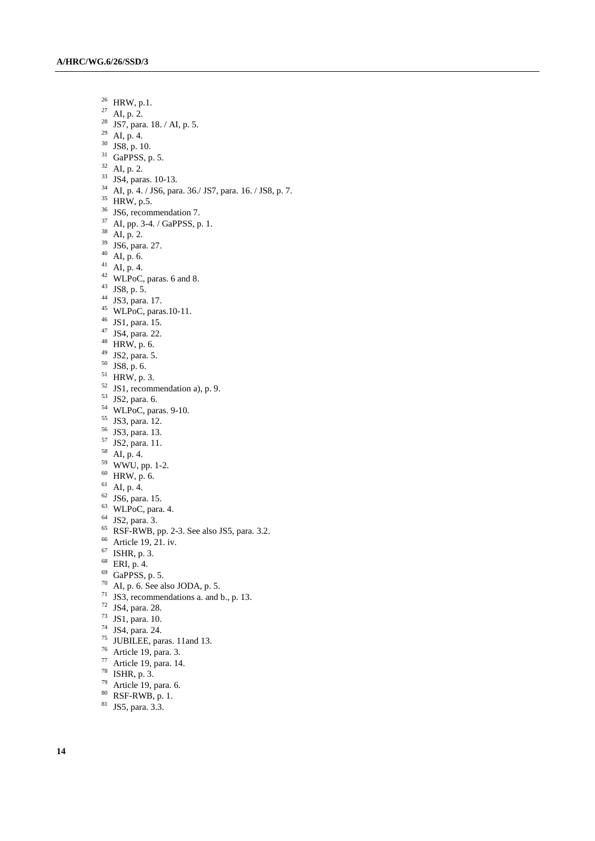HRW, p.1. AI, p. 2. <sup>28</sup> JS7, para. 18. / AI, p. 5. AI, p. 4.  $30\,$  JS8, p. 10. GaPPSS, p. 5. AI, p. 2. JS4, paras. 10-13. AI, p. 4. / JS6, para. 36./ JS7, para. 16. / JS8, p. 7. HRW, p.5. <sup>36</sup> JS6, recommendation 7. AI, pp. 3-4. / GaPPSS, p. 1. AI, p. 2. JS6, para. 27.  $^{40}\,$  AI, p. 6. AI, p. 4. WLPoC, paras. 6 and 8. JS8, p. 5. JS3, para. 17. WLPoC, paras.10-11. JS1, para. 15. JS4, para. 22. HRW, p. 6. JS2, para. 5. JS8, p. 6. HRW, p. 3. JS1, recommendation a), p. 9. JS2, para. 6. WLPoC, paras. 9-10. JS3, para. 12. JS3, para. 13. JS2, para. 11. AI, p. 4. WWU, pp. 1-2.  $^{60}\,$  HRW, p. 6. AI, p. 4. JS6, para. 15. WLPoC, para. 4. JS2, para. 3. RSF-RWB, pp. 2-3. See also JS5, para. 3.2. <sup>66</sup> Article 19, 21. iv. ISHR, p. 3. ERI, p. 4. GaPPSS, p. 5. AI, p. 6. See also JODA, p. 5. JS3, recommendations a. and b., p. 13. JS4, para. 28. JS1, para. 10. JS4, para. 24.

- JUBILEE, paras. 11and 13.
- Article 19, para. 3.
- Article 19, para. 14.
- ISHR, p. 3.
- Article 19, para. 6.
- RSF-RWB, p. 1.
- JS5, para. 3.3.